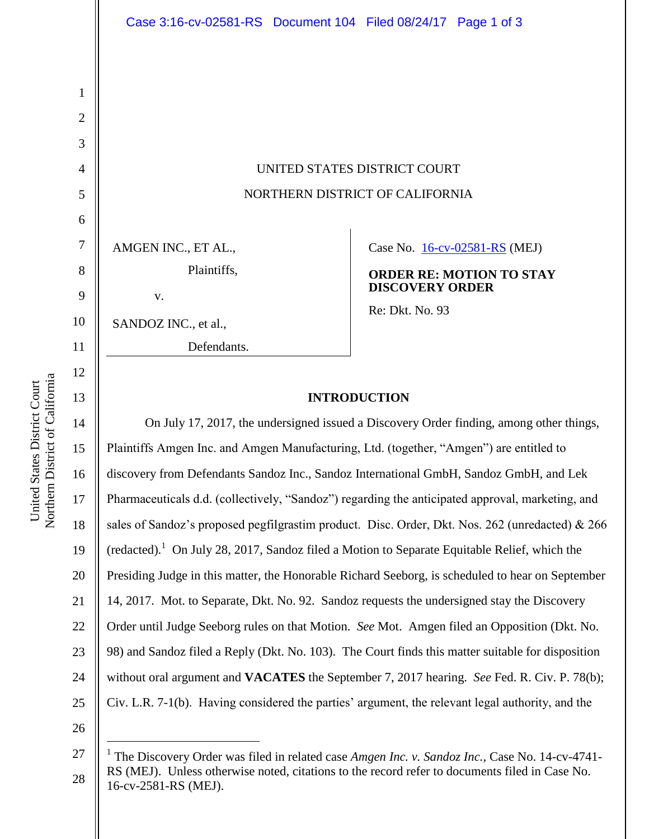# UNITED STATES DISTRICT COURT NORTHERN DISTRICT OF CALIFORNIA

AMGEN INC., ET AL., Plaintiffs,

| V. |  |
|----|--|

SANDOZ INC., et al.,

Defendants.

Case No. [16-cv-02581-RS](https://ecf.cand.uscourts.gov/cgi-bin/DktRpt.pl?298690) (MEJ)

**ORDER RE: MOTION TO STAY DISCOVERY ORDER**

Re: Dkt. No. 93

## **INTRODUCTION**

14 16 20 22 23 24 On July 17, 2017, the undersigned issued a Discovery Order finding, among other things, Plaintiffs Amgen Inc. and Amgen Manufacturing, Ltd. (together, "Amgen") are entitled to discovery from Defendants Sandoz Inc., Sandoz International GmbH, Sandoz GmbH, and Lek Pharmaceuticals d.d. (collectively, "Sandoz") regarding the anticipated approval, marketing, and sales of Sandoz's proposed pegfilgrastim product. Disc. Order, Dkt. Nos. 262 (unredacted) & 266 (redacted).<sup>1</sup> On July 28, 2017, Sandoz filed a Motion to Separate Equitable Relief, which the Presiding Judge in this matter, the Honorable Richard Seeborg, is scheduled to hear on September 14, 2017. Mot. to Separate, Dkt. No. 92. Sandoz requests the undersigned stay the Discovery Order until Judge Seeborg rules on that Motion. *See* Mot. Amgen filed an Opposition (Dkt. No. 98) and Sandoz filed a Reply (Dkt. No. 103). The Court finds this matter suitable for disposition without oral argument and **VACATES** the September 7, 2017 hearing. *See* Fed. R. Civ. P. 78(b); Civ. L.R. 7-1(b). Having considered the parties' argument, the relevant legal authority, and the

Northern District of California Northern District of California United States District Court United States District Court

1

2

3

4

5

6

7

8

9

10

11

12

13

15

17

18

19

21

25

26

 $\overline{a}$ 

<sup>27</sup> 28 1 The Discovery Order was filed in related case *Amgen Inc. v. Sandoz Inc.*, Case No. 14-cv-4741- RS (MEJ). Unless otherwise noted, citations to the record refer to documents filed in Case No. 16-cv-2581-RS (MEJ).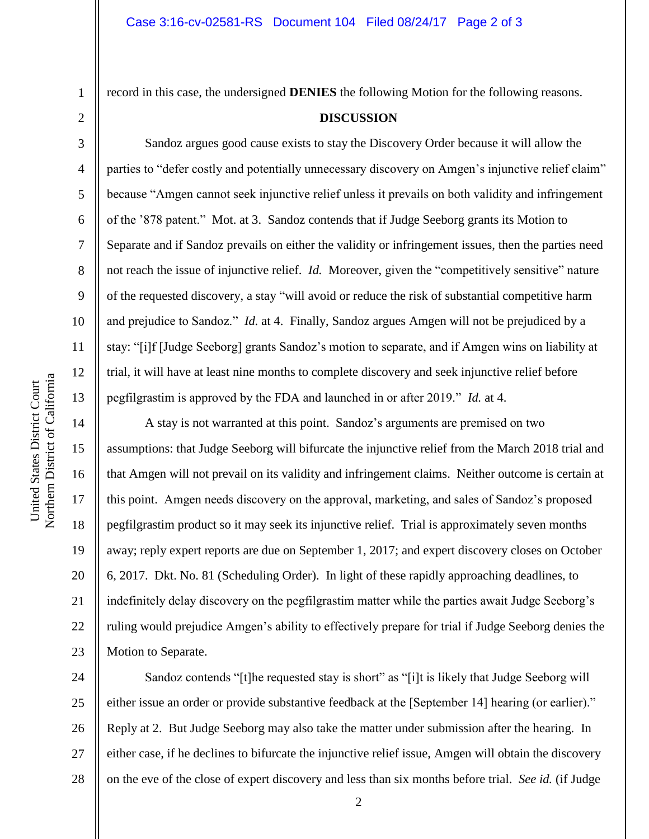2

3

4

5

6

7

8

9

10

11

12

13

14

15

16

17

18

19

20

21

22

23

1

record in this case, the undersigned **DENIES** the following Motion for the following reasons.

#### **DISCUSSION**

Sandoz argues good cause exists to stay the Discovery Order because it will allow the parties to "defer costly and potentially unnecessary discovery on Amgen's injunctive relief claim" because "Amgen cannot seek injunctive relief unless it prevails on both validity and infringement of the '878 patent." Mot. at 3. Sandoz contends that if Judge Seeborg grants its Motion to Separate and if Sandoz prevails on either the validity or infringement issues, then the parties need not reach the issue of injunctive relief. *Id.* Moreover, given the "competitively sensitive" nature of the requested discovery, a stay "will avoid or reduce the risk of substantial competitive harm and prejudice to Sandoz." *Id.* at 4. Finally, Sandoz argues Amgen will not be prejudiced by a stay: "[i]f [Judge Seeborg] grants Sandoz's motion to separate, and if Amgen wins on liability at trial, it will have at least nine months to complete discovery and seek injunctive relief before pegfilgrastim is approved by the FDA and launched in or after 2019." *Id.* at 4.

A stay is not warranted at this point. Sandoz's arguments are premised on two assumptions: that Judge Seeborg will bifurcate the injunctive relief from the March 2018 trial and that Amgen will not prevail on its validity and infringement claims. Neither outcome is certain at this point. Amgen needs discovery on the approval, marketing, and sales of Sandoz's proposed pegfilgrastim product so it may seek its injunctive relief. Trial is approximately seven months away; reply expert reports are due on September 1, 2017; and expert discovery closes on October 6, 2017. Dkt. No. 81 (Scheduling Order). In light of these rapidly approaching deadlines, to indefinitely delay discovery on the pegfilgrastim matter while the parties await Judge Seeborg's ruling would prejudice Amgen's ability to effectively prepare for trial if Judge Seeborg denies the Motion to Separate.

24 25 26 27 28 Sandoz contends "[t]he requested stay is short" as "[i]t is likely that Judge Seeborg will either issue an order or provide substantive feedback at the [September 14] hearing (or earlier)." Reply at 2. But Judge Seeborg may also take the matter under submission after the hearing. In either case, if he declines to bifurcate the injunctive relief issue, Amgen will obtain the discovery on the eve of the close of expert discovery and less than six months before trial. *See id.* (if Judge